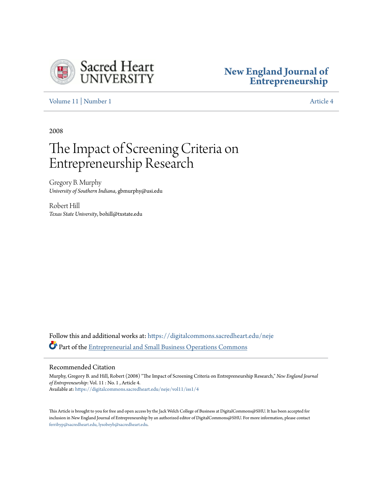

# **[New England Journal of](https://digitalcommons.sacredheart.edu/neje?utm_source=digitalcommons.sacredheart.edu%2Fneje%2Fvol11%2Fiss1%2F4&utm_medium=PDF&utm_campaign=PDFCoverPages) [Entrepreneurship](https://digitalcommons.sacredheart.edu/neje?utm_source=digitalcommons.sacredheart.edu%2Fneje%2Fvol11%2Fiss1%2F4&utm_medium=PDF&utm_campaign=PDFCoverPages)**

[Volume 11](https://digitalcommons.sacredheart.edu/neje/vol11?utm_source=digitalcommons.sacredheart.edu%2Fneje%2Fvol11%2Fiss1%2F4&utm_medium=PDF&utm_campaign=PDFCoverPages) | [Number 1](https://digitalcommons.sacredheart.edu/neje/vol11/iss1?utm_source=digitalcommons.sacredheart.edu%2Fneje%2Fvol11%2Fiss1%2F4&utm_medium=PDF&utm_campaign=PDFCoverPages) [Article 4](https://digitalcommons.sacredheart.edu/neje/vol11/iss1/4?utm_source=digitalcommons.sacredheart.edu%2Fneje%2Fvol11%2Fiss1%2F4&utm_medium=PDF&utm_campaign=PDFCoverPages)

2008

# The Impact of Screening Criteria on Entrepreneurship Research

Gregory B. Murphy *University of Southern Indiana*, gbmurphy@usi.edu

Robert Hill *Texas State University*, bohill@txstate.edu

Follow this and additional works at: [https://digitalcommons.sacredheart.edu/neje](https://digitalcommons.sacredheart.edu/neje?utm_source=digitalcommons.sacredheart.edu%2Fneje%2Fvol11%2Fiss1%2F4&utm_medium=PDF&utm_campaign=PDFCoverPages) Part of the [Entrepreneurial and Small Business Operations Commons](http://network.bepress.com/hgg/discipline/630?utm_source=digitalcommons.sacredheart.edu%2Fneje%2Fvol11%2Fiss1%2F4&utm_medium=PDF&utm_campaign=PDFCoverPages)

## Recommended Citation

Murphy, Gregory B. and Hill, Robert (2008) "The Impact of Screening Criteria on Entrepreneurship Research," *New England Journal of Entrepreneurship*: Vol. 11 : No. 1 , Article 4. Available at: [https://digitalcommons.sacredheart.edu/neje/vol11/iss1/4](https://digitalcommons.sacredheart.edu/neje/vol11/iss1/4?utm_source=digitalcommons.sacredheart.edu%2Fneje%2Fvol11%2Fiss1%2F4&utm_medium=PDF&utm_campaign=PDFCoverPages)

This Article is brought to you for free and open access by the Jack Welch College of Business at DigitalCommons@SHU. It has been accepted for inclusion in New England Journal of Entrepreneurship by an authorized editor of DigitalCommons@SHU. For more information, please contact [ferribyp@sacredheart.edu, lysobeyb@sacredheart.edu.](mailto:ferribyp@sacredheart.edu,%20lysobeyb@sacredheart.edu)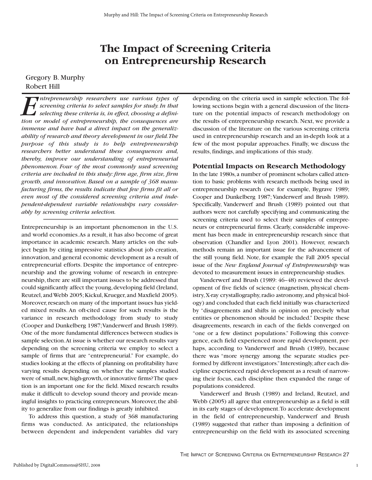# **The Impact of Screening Criteria on Entrepreneurship Research**

# Gregory B. Murphy Robert Hill

**Example 19 The** *ntrepreneurship researchers use various types of***<br>***Screening criteria to select samples for study. In that***<br>***selecting these criteria is, in effect, choosing a definition or model of entrepreneurship, the screening criteria to select samples for study. In that selecting these criteria is, in effect, choosing a definition or model of entrepreneurship, the consequences are immense and have had a direct impact on the generalizability of research and theory development in our field.The purpose of this study is to help entrepreneurship researchers better understand these consequences and, thereby, improve our understanding of entrepreneurial phenomenon. Four of the most commonly used screening criteria are included in this study: firm age, firm size, firm growth, and innovation. Based on a sample of 368 manufacturing firms, the results indicate that few firms fit all or even most of the considered screening criteria and independent-dependent variable relationships vary considerably by screening criteria selection.*

Entrepreneurship is an important phenomenon in the U.S. and world economies.As a result, it has also become of great importance in academic research. Many articles on the subject begin by citing impressive statistics about job creation, innovation, and general economic development as a result of entrepreneurial efforts. Despite the importance of entrepreneurship and the growing volume of research in entrepreneurship, there are still important issues to be addressed that could significantly affect the young,developing field (Ireland, Reutzel, and Webb 2005; Kickul, Krueger, and Maxfield 2005). Moreover, research on many of the important issues has yielded mixed results. An oft-cited cause for such results is the variance in research methodology from study to study (Cooper and Dunkelberg 1987;Vanderwerf and Brush 1989). One of the more fundamental differences between studies is sample selection.At issue is whether our research results vary depending on the screening criteria we employ to select a sample of firms that are "entrepreneurial." For example, do studies looking at the effects of planning on profitability have varying results depending on whether the samples studied were of small, new, high-growth, or innovative firms? The question is an important one for the field. Mixed research results make it difficult to develop sound theory and provide meaningful insights to practicing entrepreneurs. Moreover, the ability to generalize from our findings is greatly inhibited.

To address this question, a study of 368 manufacturing firms was conducted. As anticipated, the relationships between dependent and independent variables did vary depending on the criteria used in sample selection.The following sections begin with a general discussion of the literature on the potential impacts of research methodology on the results of entrepreneurship research. Next, we provide a discussion of the literature on the various screening criteria used in entrepreneurship research and an in-depth look at a few of the most popular approaches. Finally, we discuss the results, findings, and implications of this study.

# **Potential Impacts on Research Methodology**

In the late 1980s, a number of prominent scholars called attention to basic problems with research methods being used in entrepreneurship research (see for example, Bygrave 1989; Cooper and Dunkelberg 1987; Vanderwerf and Brush 1989). Specifically, Vanderwerf and Brush (1989) pointed out that authors were not carefully specifying and communicating the screening criteria used to select their samples of entrepreneurs or entrepreneurial firms. Clearly, considerable improvement has been made in entrepreneurship research since that observation (Chandler and Lyon 2001). However, research methods remain an important issue for the advancement of the still young field. Note, for example the Fall 2005 special issue of the *New England Journal of Entrepreneurship* was devoted to measurement issues in entrepreneurship studies.

Vanderwerf and Brush (1989: 46–48) reviewed the development of five fields of science (magnetism, physical chemistry,X-ray crystallography,radio astronomy,and physical biology) and concluded that each field initially was characterized by "disagreements and shifts in opinion on precisely what entities or phenomenon should be included." Despite these disagreements, research in each of the fields converged on "one or a few distinct populations." Following this convergence, each field experienced more rapid development, perhaps, according to Vanderwerf and Brush (1989), because there was "more synergy among the separate studies performed by different investigators."Interestingly,after each discipline experienced rapid development as a result of narrowing their focus, each discipline then expanded the range of populations considered.

Vanderwerf and Brush (1989) and Ireland, Reutzel, and Webb (2005) all agree that entrepreneurship as a field is still in its early stages of development.To accelerate development in the field of entrepreneurship, Vanderwerf and Brush (1989) suggested that rather than imposing a definition of entrepreneurship on the field with its associated screening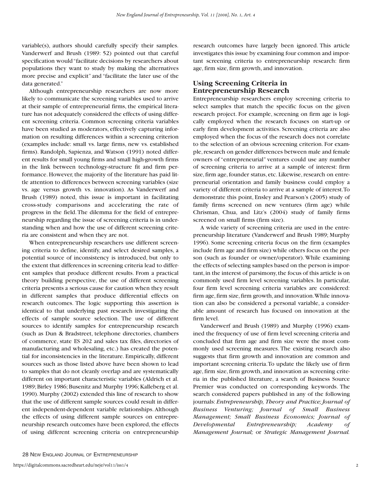variable(s), authors should carefully specify their samples. Vanderwerf and Brush (1989: 52) pointed out that careful specification would "facilitate decisions by researchers about populations they want to study by making the alternatives more precise and explicit" and "facilitate the later use of the data generated."

Although entrepreneurship researchers are now more likely to communicate the screening variables used to arrive at their sample of entrepreneurial firms, the empirical literature has not adequately considered the effects of using different screening criteria. Common screening criteria variables have been studied as moderators, effectively capturing information on resulting differences within a screening criterion (examples include: small vs. large firms, new vs. established firms). Randolph, Sapienza, and Watson (1991) noted different results for small young firms and small high-growth firms in the link between technology-structure fit and firm performance. However, the majority of the literature has paid little attention to differences between screening variables (size vs. age versus growth vs. innovation). As Vanderwerf and Brush (1989) noted, this issue is important in facilitating cross-study comparisons and accelerating the rate of progress in the field.The dilemma for the field of entrepreneurship regarding the issue of screening criteria is in understanding when and how the use of different screening criteria are consistent and when they are not.

When entrepreneurship researchers use different screening criteria to define, identify, and select desired samples, a potential source of inconsistency is introduced, but only to the extent that differences in screening criteria lead to different samples that produce different results. From a practical theory building perspective, the use of different screening criteria presents a serious cause for caution when they result in different samples that produce differential effects on research outcomes. The logic supporting this assertion is identical to that underlying past research investigating the effects of sample source selection. The use of different sources to identify samples for entrepreneurship research (such as Dun & Bradstreet, telephone directories, chambers of commerce, state ES 202 and sales tax files, directories of manufacturing and wholesaling, etc.) has created the potential for inconsistencies in the literature. Empirically, different sources such as those listed above have been shown to lead to samples that do not cleanly overlap and are systematically different on important characteristic variables (Aldrich et al. 1989; Birley 1986; Busenitz and Murphy 1996; Kalleberg et al. 1990). Murphy (2002) extended this line of research to show that the use of different sample sources could result in different independent-dependent variable relationships. Although the effects of using different sample sources on entrepreneurship research outcomes have been explored, the effects of using different screening criteria on entrepreneurship

research outcomes have largely been ignored. This article investigates this issue by examining four common and important screening criteria to entrepreneurship research: firm age, firm size, firm growth, and innovation.

# **Using Screening Criteria in Entrepreneurship Research**

Entrepreneurship researchers employ screening criteria to select samples that match the specific focus on the given research project. For example, screening on firm age is logically employed when the research focuses on start-up or early firm development activities. Screening criteria are also employed when the focus of the research does not correlate to the selection of an obvious screening criterion. For example,research on gender differences between male and female owners of "entrepreneurial" ventures could use any number of screening criteria to arrive at a sample of interest: firm size, firm age, founder status, etc. Likewise, research on entrepreneurial orientation and family business could employ a variety of different criteria to arrive at a sample of interest.To demonstrate this point, Ensley and Pearson's (2005) study of family firms screened on new ventures (firm age) while Chrisman, Chua, and Litz's (2004) study of family firms screened on small firms (firm size).

A wide variety of screening criteria are used in the entrepreneurship literature (Vanderwerf and Brush 1989; Murphy 1996). Some screening criteria focus on the firm (examples include firm age and firm size) while others focus on the person (such as founder or owner/operator). While examining the effects of selecting samples based on the person is important, in the interest of parsimony, the focus of this article is on commonly used firm level screening variables. In particular, four firm level screening criteria variables are considered: firm age, firm size, firm growth, and innovation. While innovation can also be considered a personal variable, a considerable amount of research has focused on innovation at the firm level.

Vanderwerf and Brush (1989) and Murphy (1996) examined the frequency of use of firm level screening criteria and concluded that firm age and firm size were the most commonly used screening measures. The existing research also suggests that firm growth and innovation are common and important screening criteria.To update the likely use of firm age, firm size, firm growth, and innovation as screening criteria in the published literature, a search of Business Source Premier was conducted on corresponding keywords. The search considered papers published in any of the following journals: *Entrepreneurship, Theory and Practice; Journal of Business Venturing; Journal of Small Business Management; Small Business Economics; Journal of Developmental Entrepreneurship; Academy of Management Journal;* or *Strategic Management Journal.*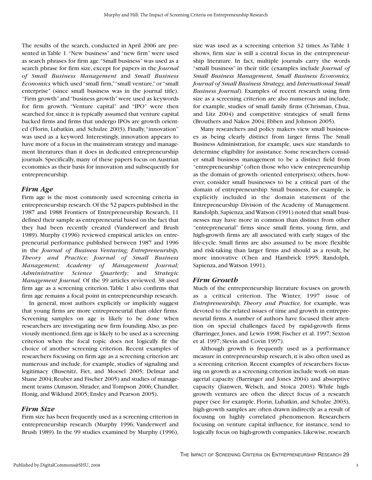The results of the search, conducted in April 2006 are presented in Table 1."New business" and "new firm" were used as search phrases for firm age."Small business" was used as a search phrase for firm size, except for papers in the *Journal of Small Business Management* and *Small Business Economics* which used "small firm,""small venture," or "small enterprise" (since small business was in the journal title). "Firm growth" and "business growth" were used as keywords for firm growth. "Venture capital" and "IPO" were then searched for, since it is typically assumed that venture capital backed firms and firms that undergo IPOs are growth oriented (Florin, Lubatkin, and Schulze 2003). Finally,"innovation" was used as a keyword. Interestingly, innovation appears to have more of a focus in the mainstream strategy and management literatures than it does in dedicated entrepreneurship journals. Specifically, many of these papers focus on Austrian economics as their basis for innovation and subsequently for entrepreneurship.

# *Firm Age*

Firm age is the most commonly used screening criteria in entrepreneurship research.Of the 52 papers published in the 1987 and 1988 Frontiers of Entrepreneurship Research, 11 defined their sample as entrepreneurial based on the fact that they had been recently created (Vanderwerf and Brush 1989). Murphy (1996) reviewed empirical articles on entrepreneurial performance published between 1987 and 1996 in the *Journal of Business Venturing; Entrepreneurship, Theory and Practice; Journal of Small Business Management; Academy of Management Journal; Administrative Science Quarterly;* and *Strategic Management Journal.* Of the 99 articles reviewed, 38 used firm age as a screening criterion.Table 1 also confirms that firm age remains a focal point in entrepreneurship research.

In general, most authors explicitly or implicitly suggest that young firms are more entrepreneurial than older firms. Screening samples on age is likely to be done when researchers are investigating new firm founding.Also, as previously mentioned,firm age is likely to be used as a screening criterion when the focal topic does not logically fit the choice of another screening criterion. Recent examples of researchers focusing on firm age as a screening criterion are numerous and include, for example, studies of signaling and legitimacy (Busenitz, Fiet, and Moesel 2005; Delmar and Shane 2004; Reuber and Fischer 2005) and studies of management teams (Amason, Shrader, and Tompson 2006; Chandler, Honig, and Wiklund 2005; Ensley and Pearson 2005).

#### *Firm Size*

Firm size has been frequently used as a screening criterion in entrepreneurship research (Murphy 1996; Vanderwerf and Brush 1989). In the 99 studies examined by Murphy (1996),

size was used as a screening criterion 32 times. As Table 1 shows, firm size is still a central focus in the entrepreneurship literature. In fact, multiple journals carry the words "small business" in their title (examples include *Journal of Small Business Management, Small Business Economics, Journal of Small Business Strategy,* and *International Small Business Journal*). Examples of recent research using firm size as a screening criterion are also numerous and include, for example, studies of small family firms (Chrisman, Chua, and Litz 2004) and competitive strategies of small firms (Brouthers and Nakos 2004; Ebben and Johnson 2005).

Many researchers and policy makers view small businesses as being clearly distinct from larger firms. The Small Business Administration, for example, uses size standards to determine eligibility for assistance. Some researchers consider small business management to be a distinct field from "entrepreneurship" (often those who view entrepreneurship as the domain of growth- oriented enterprises); others, however, consider small businesses to be a critical part of the domain of entrepreneurship. Small business, for example, is explicitly included in the domain statement of the Entrepreneurship Division of the Academy of Management. Randolph, Sapienza, and Watson (1991) noted that small businesses may have more in common than distinct from other "entrepreneurial" firms since small firms, young firm, and high-growth firms are all associated with early stages of the life-cycle. Small firms are also assumed to be more flexible and risk-taking than larger firms and should as a result, be more innovative (Chen and Hambrick 1995; Randolph, Sapienza, and Watson 1991).

#### *Firm Growth*

Much of the entrepreneurship literature focuses on growth as a critical criterion. The Winter, 1997 issue of *Entrepreneurship, Theory and Practice,* for example, was devoted to the related issues of time and growth in entrepreneurial firms.A number of authors have focused their attention on special challenges faced by rapid-growth firms (Barringer, Jones, and Lewis 1998; Fischer et al. 1997; Sexton et al. 1997; Slevin and Covin 1997).

Although growth is frequently used as a performance measure in entrepreneurship research, it is also often used as a screening criterion. Recent examples of researchers focusing on growth as a screening criterion include work on managerial capacity (Barringer and Jones 2004) and absorptive capacity (Jianwen, Welsch, and Stoica 2003). While highgrowth ventures are often the direct focus of a research paper (see for example, Florin, Lubatkin, and Schulze 2003), high-growth samples are often drawn indirectly as a result of focusing on highly correlated phenomenon. Researchers focusing on venture capital influence, for instance, tend to logically focus on high-growth companies. Likewise, research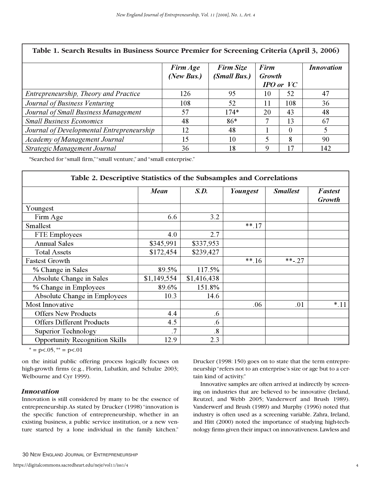| Table 1. Search Results in Business Source Premier for Screening Criteria (April 3, 2006) |                        |                           |                |               |                   |
|-------------------------------------------------------------------------------------------|------------------------|---------------------------|----------------|---------------|-------------------|
|                                                                                           | Firm Age<br>(New Bus.) | Firm Size<br>(Small Bus.) | Firm<br>Growth | $IPO$ or $VC$ | <b>Innovation</b> |
| Entrepreneurship, Theory and Practice                                                     | 126                    | 95                        | 10             | 52            | 47                |
| Journal of Business Venturing                                                             | 108                    | 52                        | 11             | 108           | 36                |
| Journal of Small Business Management                                                      | 57                     | $174*$                    | 20             | 43            | 48                |
| <b>Small Business Economics</b>                                                           | 48                     | $86*$                     |                | 13            | 67                |
| Journal of Developmental Entrepreneurship                                                 | 12                     | 48                        |                | 0             |                   |
| Academy of Management Journal                                                             | 15                     | 10                        |                | 8             | 90                |
| Strategic Management Journal                                                              | 36                     | 18                        | 9              | 17            | 142               |

\*Searched for "small firm,""small venture," and "small enterprise."

| Table 2. Descriptive Statistics of the Subsamples and Correlations |             |                 |          |                 |                          |
|--------------------------------------------------------------------|-------------|-----------------|----------|-----------------|--------------------------|
|                                                                    | Mean        | S.D.            | Youngest | <b>Smallest</b> | Fastest<br><b>Growth</b> |
| Youngest                                                           |             |                 |          |                 |                          |
| Firm Age                                                           | 6.6         | 3.2             |          |                 |                          |
| Smallest                                                           |             |                 | $***.17$ |                 |                          |
| FTE Employees                                                      | 4.0         | 2.7             |          |                 |                          |
| <b>Annual Sales</b>                                                | \$345,991   | \$337,953       |          |                 |                          |
| <b>Total Assets</b>                                                | \$172,454   | \$239,427       |          |                 |                          |
| <b>Fastest Growth</b>                                              |             |                 | $***.16$ | $***-27$        |                          |
| % Change in Sales                                                  | 89.5%       | 117.5%          |          |                 |                          |
| Absolute Change in Sales                                           | \$1,149,554 | \$1,416,438     |          |                 |                          |
| % Change in Employees                                              | 89.6%       | 151.8%          |          |                 |                          |
| Absolute Change in Employees                                       | 10.3        | 14.6            |          |                 |                          |
| Most Innovative                                                    |             |                 | .06      | .01             | $*.11$                   |
| <b>Offers New Products</b>                                         | 4.4         | .6              |          |                 |                          |
| <b>Offers Different Products</b>                                   | 4.5         | .6              |          |                 |                          |
| Superior Technology                                                | .7          | $\overline{.8}$ |          |                 |                          |
| <b>Opportunity Recognition Skills</b>                              | 12.9        | 2.3             |          |                 |                          |

 $* = p < .05, ** = p < .01$ 

on the initial public offering process logically focuses on high-growth firms (e.g., Florin, Lubatkin, and Schulze 2003; Welbourne and Cyr 1999).

# *Innovation*

Innovation is still considered by many to be the essence of entrepreneurship.As stated by Drucker (1998) "innovation is the specific function of entrepreneurship, whether in an existing business, a public service institution, or a new venture started by a lone individual in the family kitchen."

Drucker (1998: 150) goes on to state that the term entrepreneurship "refers not to an enterprise's size or age but to a certain kind of activity."

Innovative samples are often arrived at indirectly by screening on industries that are believed to be innovative (Ireland, Reutzel, and Webb 2005; Vanderwerf and Brush 1989). Vanderwerf and Brush (1989) and Murphy (1996) noted that industry is often used as a screening variable. Zahra, Ireland, and Hitt (2000) noted the importance of studying high-technology firms given their impact on innovativeness.Lawless and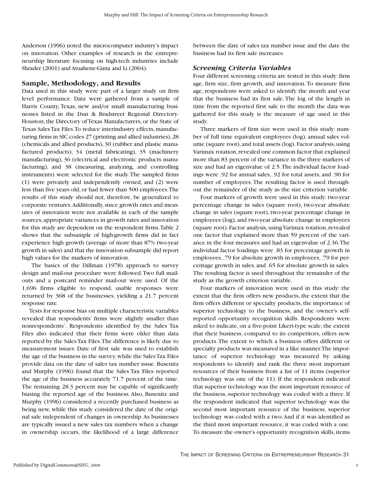Anderson (1996) noted the microcomputer industry's impact on innovation. Other examples of research in the entrepreneurship literature focusing on high-tech industries include Shrader (2001) and Atuahene-Gima and Li (2004).

#### **Sample, Methodology, and Results**

Data used in this study were part of a larger study on firm level performance. Data were gathered from a sample of Harris County, Texas, new and/or small manufacturing businesses listed in the Dun & Bradstreet Regional Directory-Houston, the Directory of Texas Manufacturers, or the State of Texas Sales Tax Files.To reduce interindustry effects, manufacturing firms in SIC codes 27 (printing and allied industries),28 (chemicals and allied products), 30 (rubber and plastic manufactured products), 34 (metal fabricating), 35 (machinery manufacturing), 36 (electrical and electronic products manufacturing), and 38 (measuring, analyzing, and controlling instruments) were selected for the study.The sampled firms (1) were privately and independently owned, and (2) were less than five years old, or had fewer than 500 employees.The results of this study should not, therefore, be generalized to corporate ventures.Additionally, since growth rates and measures of innovation were not available in each of the sample sources,appropriate variances in growth rates and innovation for this study are dependent on the respondent firms.Table 2 shows that the subsample of high-growth firms did in fact experience high growth (average of more than 87% two-year growth in sales) and that the innovation subsample did report high values for the markers of innovation.

The basics of the Dillman (1978) approach to survey design and mail-out procedure were followed.Two full mailouts and a postcard reminder mail-out were used. Of the 1,696 firms eligible to respond, usable responses were returned by 368 of the businesses, yielding a 21.7 percent response rate.

Tests for response bias on multiple characteristic variables revealed that respondents' firms were slightly smaller than nonrespondents'. Respondents identified by the Sales Tax Files also indicated that their firms were older than data reported by the Sales Tax Files.The difference is likely due to measurement issues. Date of first sale was used to establish the age of the business in the survey,while the Sales Tax Files provide data on the date of sales tax number issue. Busenitz and Murphy (1996) found that the Sales Tax Files reported the age of the business accurately 71.7 percent of the time. The remaining 28.3 percent may be capable of significantly biasing the reported age of the business. Also, Busenitz and Murphy (1996) considered a recently purchased business as being new, while this study considered the date of the original sale independent of changes in ownership.As businesses are typically issued a new sales tax numbers when a change in ownership occurs, the likelihood of a large difference

between the date of sales tax number issue and the date the business had its first sale increases.

## *Screening Criteria Variables*

Four different screening criteria are tested in this study: firm age, firm size, firm growth, and innovation.To measure firm age, respondents were asked to identify the month and year that the business had its first sale. The log of the length in time from the reported first sale to the month the data was gathered for this study is the measure of age used in this study.

Three markers of firm size were used in this study: number of full time equivalent employees (log), annual sales volume (square root), and total assets (log). Factor analysis, using Varimax rotation,revealed one common factor that explained more than 83 percent of the variance in the three markers of size and had an eigenvalue of 2.5.The individual factor loadings were .92 for annual sales, .92 for total assets, and .90 for number of employees.The resulting factor is used throughout the remainder of the study as the size criterion variable.

Four markers of growth were used in this study: two-year percentage change in sales (square root), two-year absolute change in sales (square root), two-year percentage change in employees (log), and two-year absolute change in employees (square root).Factor analysis,using Varimax rotation,revealed one factor that explained more than 59 percent of the variance in the four measures and had an eigenvalue of 2.36.The individual factor loadings were .83 for percentage growth in employees,.79 for absolute growth in employees,.79 for percentage growth in sales, and .65 for absolute growth in sales. The resulting factor is used throughout the remainder of the study as the growth criterion variable.

Four markers of innovation were used in this study: the extent that the firm offers new products, the extent that the firm offers different or specialty products, the importance of superior technology to the business, and the owner's selfreported opportunity recognition skills. Respondents were asked to indicate, on a five-point Likert-type scale, the extent that their business, compared to its competitors, offers new products.The extent to which a business offers different or specialty products was measured in a like manner.The importance of superior technology was measured by asking respondents to identify and rank the three most important resources of their business from a list of 11 items (superior technology was one of the 11). If the respondent indicated that superior technology was the most important resource of the business, superior technology was coded with a three. If the respondent indicated that superior technology was the second most important resource of the business, superior technology was coded with a two.And if it was identified as the third most important resource, it was coded with a one. To measure the owner's opportunity recognition skills, items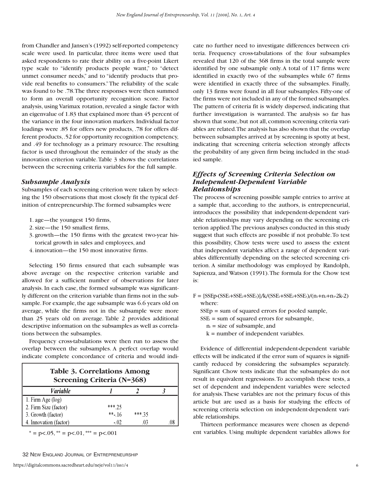from Chandler and Jansen's (1992) self-reported competency scale were used. In particular, three items were used that asked respondents to rate their ability on a five-point Likert type scale to "identify products people want," to "detect unmet consumer needs," and to "identify products that provide real benefits to consumers."The reliability of the scale was found to be .78.The three responses were then summed to form an overall opportunity recognition score. Factor analysis, using Varimax rotation, revealed a single factor with an eigenvalue of 1.83 that explained more than 45 percent of the variance in the four innovation markers. Individual factor loadings were .85 for offers new products, .78 for offers different products,.52 for opportunity recognition competency, and .49 for technology as a primary resource.The resulting factor is used throughout the remainder of the study as the innovation criterion variable.Table 3 shows the correlations between the screening criteria variables for the full sample.

#### *Subsample Analysis*

Subsamples of each screening criterion were taken by selecting the 150 observations that most closely fit the typical definition of entrepreneurship.The formed subsamples were

- 1. age—the youngest 150 firms,
- 2. size—the 150 smallest firms,
- 3. growth—the 150 firms with the greatest two-year historical growth in sales and employees, and
- 4. innovation—the 150 most innovative firms.

Selecting 150 firms ensured that each subsample was above average on the respective criterion variable and allowed for a sufficient number of observations for later analysis. In each case, the formed subsample was significantly different on the criterion variable than firms not in the subsample. For example, the age subsample was 6.6 years old on average, while the firms not in the subsample were more than 25 years old on average. Table 2 provides additional descriptive information on the subsamples as well as correlations between the subsamples.

Frequency cross-tabulations were then run to assess the overlap between the subsamples. A perfect overlap would indicate complete concordance of criteria and would indi-

| <b>Table 3. Correlations Among</b><br><b>Screening Criteria (N=368)</b> |          |         |  |
|-------------------------------------------------------------------------|----------|---------|--|
| <i>Variable</i>                                                         |          |         |  |
| 1. Firm Age $(log)$                                                     |          |         |  |
| 2. Firm Size (factor)                                                   | *** 25   |         |  |
| 3. Growth (factor)                                                      | $***.16$ | $***35$ |  |
| 4. Innovation (factor)                                                  | $-.02$   | .03     |  |

 $* = p < .05, ** = p < .01, ** = p < .001$ 

cate no further need to investigate differences between criteria. Frequency cross-tabulations of the four subsamples revealed that 120 of the 368 firms in the total sample were identified by one subsample only. A total of 117 firms were identified in exactly two of the subsamples while 67 firms were identified in exactly three of the subsamples. Finally, only 13 firms were found in all four subsamples. Fifty-one of the firms were not included in any of the formed subsamples. The pattern of criteria fit is widely dispersed, indicating that further investigation is warranted. The analysis so far has shown that some, but not all, common screening criteria variables are related.The analysis has also shown that the overlap between subsamples arrived at by screening is spotty at best, indicating that screening criteria selection strongly affects the probability of any given firm being included in the studied sample.

# *Effects of Screening Criteria Selection on Independent-Dependent Variable Relationships*

The process of screening possible sample entries to arrive at a sample that, according to the authors, is entrepreneurial, introduces the possibility that independent-dependent variable relationships may vary depending on the screening criterion applied.The previous analyses conducted in this study suggest that such effects are possible if not probable.To test this possibility, Chow tests were used to assess the extent that independent variables affect a range of dependent variables differentially depending on the selected screening criterion. A similar methodology was employed by Randolph, Sapienza, and Watson (1991).The formula for the Chow test is:

- $F = [SSEp-(SSE<sub>1</sub>+SSE<sub>2</sub>+SSE<sub>3</sub>]/k/(SSE<sub>1</sub>+SSE<sub>2</sub>+SSE<sub>3</sub>)/(n<sub>1</sub>+n<sub>2</sub>+n<sub>3</sub>-2k-2)$ where:
	- SSEp = sum of squared errors for pooled sample,
	- $SSE_i = sum of squared errors for subsample,$ 
		- $n_i$  = size of subsample, and
		- $k =$  number of independent variables.

Evidence of differential independent-dependent variable effects will be indicated if the error sum of squares is significantly reduced by considering the subsamples separately. Significant Chow tests indicate that the subsamples do not result in equivalent regressions.To accomplish these tests, a set of dependent and independent variables were selected for analysis.These variables are not the primary focus of this article but are used as a basis for studying the effects of screening criteria selection on independent-dependent variable relationships.

Thirteen performance measures were chosen as dependent variables. Using multiple dependent variables allows for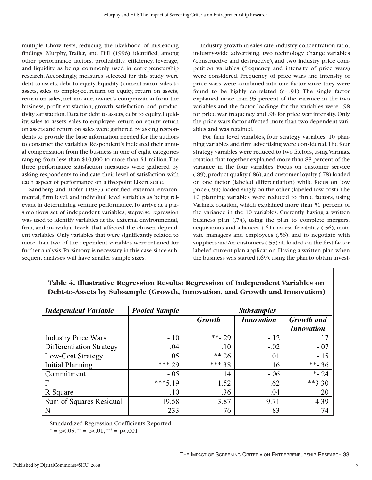multiple Chow tests, reducing the likelihood of misleading findings. Murphy, Trailer, and Hill (1996) identified, among other performance factors, profitability, efficiency, leverage, and liquidity as being commonly used in entrepreneurship research. Accordingly, measures selected for this study were debt to assets, debt to equity, liquidity (current ratio), sales to assets, sales to employee, return on equity, return on assets, return on sales, net income, owner's compensation from the business, profit satisfaction, growth satisfaction, and productivity satisfaction. Data for debt to assets, debt to equity, liquidity, sales to assets, sales to employee, return on equity, return on assets and return on sales were gathered by asking respondents to provide the base information needed for the authors to construct the variables. Respondent's indicated their annual compensation from the business in one of eight categories ranging from less than \$10,000 to more than \$1 million.The three performance satisfaction measures were gathered by asking respondents to indicate their level of satisfaction with each aspect of performance on a five-point Likert scale.

Sandberg and Hofer (1987) identified external environmental, firm level, and individual level variables as being relevant in determining venture performance.To arrive at a parsimonious set of independent variables, stepwise regression was used to identify variables at the external environmental, firm, and individual levels that affected the chosen dependent variables. Only variables that were significantly related to more than two of the dependent variables were retained for further analysis.Parsimony is necessary in this case since subsequent analyses will have smaller sample sizes.

Industry growth in sales rate, industry concentration ratio, industry-wide advertising, two technology change variables (constructive and destructive), and two industry price competition variables (frequency and intensity of price wars) were considered. Frequency of price wars and intensity of price wars were combined into one factor since they were found to be highly correlated (r=-.91). The single factor explained more than 95 percent of the variance in the two variables and the factor loadings for the variables were -.98 for price war frequency and .98 for price war intensity. Only the price wars factor affected more than two dependent variables and was retained.

For firm level variables, four strategy variables, 10 planning variables and firm advertising were considered.The four strategy variables were reduced to two factors,using Varimax rotation that together explained more than 88 percent of the variance in the four variables. Focus on customer service (.89),product quality (.86),and customer loyalty (.78) loaded on one factor (labeled differentiation) while focus on low price (.99) loaded singly on the other (labeled low cost).The 10 planning variables were reduced to three factors, using Varimax rotation, which explained more than 51 percent of the variance in the 10 variables. Currently having a written business plan (.74), using the plan to complete mergers, acquisitions and alliances (.61), assess feasibility (.56), motivate managers and employees (.56), and to negotiate with suppliers and/or customers (.55) all loaded on the first factor labeled current plan application.Having a written plan when the business was started (.69), using the plan to obtain invest-

| <b>Independent Variable</b> | <b>Pooled Sample</b> |            | <b>Subsamples</b> |                   |
|-----------------------------|----------------------|------------|-------------------|-------------------|
|                             |                      | Growth     | <b>Innovation</b> | <b>Growth</b> and |
|                             |                      |            |                   | <b>Innovation</b> |
| <b>Industry Price Wars</b>  | $-.10$               | $*** - 29$ | $-.12$            | .17               |
| Differentiation Strategy    | .04                  | .10        | $-.02$            | $-.07$            |
| Low-Cost Strategy           | .05                  | $***.26$   | .01               | $-.15$            |
| Initial Planning            | *** 29               | ***.38     | .16               | **-.36            |
| Commitment                  | $-.05$               | .14        | $-.06$            | $*$ -.24          |
| F                           | $***519$             | 1.52       | .62               | $**3.30$          |
| R Square                    | .10                  | .36        | .04               | .20               |
| Sum of Squares Residual     | 19.58                | 3.87       | 9.71              | 4.39              |
| N                           | 233                  | 76         | 83                | 74                |

# **Table 4. Illustrative Regression Results: Regression of Independent Variables on Debt-to-Assets by Subsample (Growth, Innovation, and Growth and Innovation)**

Standardized Regression Coefficients Reported

 $* = p < .05, ** = p < .01,*** = p < .001$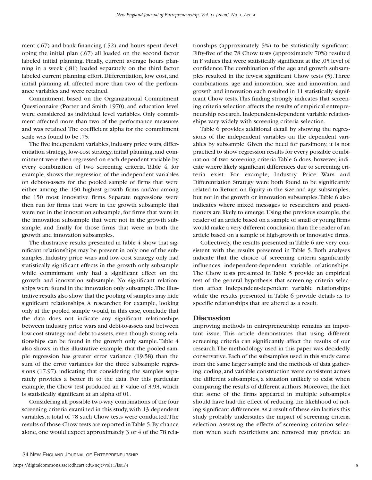ment (.67) and bank financing (.52), and hours spent developing the initial plan (.67) all loaded on the second factor labeled initial planning. Finally, current average hours planning in a week (.81) loaded separately on the third factor labeled current planning effort. Differentiation, low cost, and initial planning all affected more than two of the performance variables and were retained.

Commitment, based on the Organizational Commitment Questionnaire (Porter and Smith 1970), and education level were considered as individual level variables. Only commitment affected more than two of the performance measures and was retained.The coefficient alpha for the commitment scale was found to be .75.

The five independent variables, industry price wars, differentiation strategy, low-cost strategy, initial planning, and commitment were then regressed on each dependent variable by every combination of two screening criteria. Table 4, for example, shows the regression of the independent variables on debt-to-assets for the pooled sample of firms that were either among the 150 highest growth firms and/or among the 150 most innovative firms. Separate regressions were then run for firms that were in the growth subsample that were not in the innovation subsample, for firms that were in the innovation subsample that were not in the growth subsample, and finally for those firms that were in both the growth and innovation subsamples.

The illustrative results presented in Table 4 show that significant relationships may be present in only one of the subsamples. Industry price wars and low-cost strategy only had statistically significant effects in the growth only subsample while commitment only had a significant effect on the growth and innovation subsample. No significant relationships were found in the innovation only subsample.The illustrative results also show that the pooling of samples may hide significant relationships. A researcher, for example, looking only at the pooled sample would, in this case, conclude that the data does not indicate any significant relationships between industry price wars and debt-to-assets and between low-cost strategy and debt-to-assets, even though strong relationships can be found in the growth only sample. Table 4 also shows, in this illustrative example, that the pooled sample regression has greater error variance (19.58) than the sum of the error variances for the three subsample regressions (17.97), indicating that considering the samples separately provides a better fit to the data. For this particular example, the Chow test produced an F value of 3.93, which is statistically significant at an alpha of 01.

Considering all possible two-way combinations of the four screening criteria examined in this study, with 13 dependent variables, a total of 78 such Chow tests were conducted.The results of those Chow tests are reported in Table 5.By chance alone, one would expect approximately 3 or 4 of the 78 rela-

tionships (approximately 5%) to be statistically significant. Fifty-five of the 78 Chow tests (approximately 70%) resulted in F values that were statistically significant at the .05 level of confidence.The combination of the age and growth subsamples resulted in the fewest significant Chow tests (5).Three combinations, age and innovation, size and innovation, and growth and innovation each resulted in 11 statistically significant Chow tests.This finding strongly indicates that screening criteria selection affects the results of empirical entrepreneurship research. Independent-dependent variable relationships vary widely with screening criteria selection.

Table 6 provides additional detail by showing the regressions of the independent variables on the dependent variables by subsample. Given the need for parsimony, it is not practical to show regression results for every possible combination of two screening criteria.Table 6 does, however, indicate where likely significant differences due to screening criteria exist. For example, Industry Price Wars and Differentiation Strategy were both found to be significantly related to Return on Equity in the size and age subsamples, but not in the growth or innovation subsamples.Table 6 also indicates where mixed messages to researchers and practitioners are likely to emerge. Using the previous example, the reader of an article based on a sample of small or young firms would make a very different conclusion than the reader of an article based on a sample of high-growth or innovative firms.

Collectively, the results presented in Table 6 are very consistent with the results presented in Table 5. Both analyses indicate that the choice of screening criteria significantly influences independent-dependent variable relationships. The Chow tests presented in Table 5 provide an empirical test of the general hypothesis that screening criteria selection affect independent-dependent variable relationships while the results presented in Table 6 provide details as to specific relationships that are altered as a result.

#### **Discussion**

Improving methods in entrepreneurship remains an important issue. This article demonstrates that using different screening criteria can significantly affect the results of our research.The methodology used in this paper was decidedly conservative. Each of the subsamples used in this study came from the same larger sample and the methods of data gathering, coding, and variable construction were consistent across the different subsamples, a situation unlikely to exist when comparing the results of different authors. Moreover, the fact that some of the firms appeared in multiple subsamples should have had the effect of reducing the likelihood of noting significant differences.As a result of these similarities this study probably understates the impact of screening criteria selection. Assessing the effects of screening criterion selection when such restrictions are removed may provide an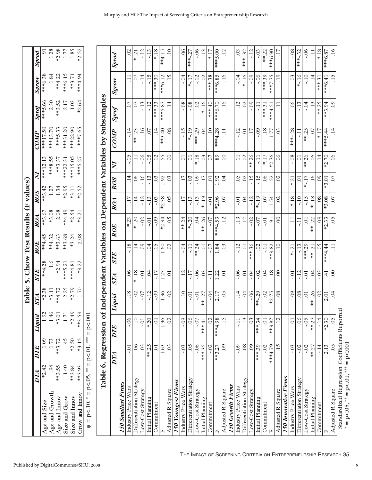|                                                                                    | DTA DTE |         | uid<br>Ligu   | STA     | <b>STE</b> | ROE      | ROA      | $ROS$ $NI$ |          |           | COMP Sprof | S <sub>grom</sub> | Sprod          |
|------------------------------------------------------------------------------------|---------|---------|---------------|---------|------------|----------|----------|------------|----------|-----------|------------|-------------------|----------------|
| Age and Size                                                                       | *2.42   |         | 1.92          | $*2.38$ | **4.28     | $**4.45$ | $**3.67$ | $**3.42$   | ***12.13 | ***17.50  | ***5.66    | ***6.38           | $\overline{0}$ |
| Age and Growth                                                                     |         |         | 1.46          | $*3.11$ | 1.6        | **4.32   | *3.08    | 1.27       | ***8.55  | ***13.70  | 2.30       | 1.84              | 1.28           |
| Age and Innov                                                                      | $*3.55$ | **3.72  | 3.01<br>¥     | **4.72  | $*2.94$    | $**3.63$ | 2.08     | 1.34       | $**3.37$ | ***5.33   | **3.52     | $**4.22$          | $*2.98$        |
| Size and Grow                                                                      |         |         | 1.71          | 2.25    | ***5.21    | **3.68   | 44.449   | *2.95      | ***22.31 | ***31.20  | 2.17       | ***6.15           | 1.77           |
| Size and Innov                                                                     | $*3.84$ | $*2.50$ | 2.49          | *2.79   | ****4.81   | $*3.24$  | *2.54    | $*3.11$    | ***15.05 | ****22.90 | 1.03       | $***3.71$         | 1.85           |
| frow and Innov                                                                     | $*3.93$ | $*3.15$ | $*3.59$       | 1.70    | $*3.22$    | 2.08     | $*3.21$  | $*2.52$    | ***5.27  | ***7.65   | *2.64      | ****4.94          | $*2.52$        |
| $\Psi = p < 10$ , ${}^* = p < 0.05$ , ${}^{**} = p < 0.01$ , ${}^{***} = p < 0.01$ |         |         | $\bar{\rm s}$ |         |            |          |          |            |          |           |            |                   |                |

|                                         | Table 6. Regression of |                       |                                     |                 |                       |                        |                 |                      |                            |                            | Independent Variables on Dependent Variables by Subsamples |                  |                 |
|-----------------------------------------|------------------------|-----------------------|-------------------------------------|-----------------|-----------------------|------------------------|-----------------|----------------------|----------------------------|----------------------------|------------------------------------------------------------|------------------|-----------------|
|                                         | DTA                    | DTE                   | Liquid                              | STA             | <b>STE</b>            | <b>ROE</b>             | ROA             | <b>ROS</b>           | $\mathbf{N}$               | COMP                       | Sprof                                                      | Sgrow            | Sprod           |
| <b>150 Smallest Firms</b>               |                        |                       |                                     |                 |                       |                        |                 |                      |                            |                            |                                                            |                  |                 |
| Industry Price Wars                     | Ξ.                     | $-06$                 | .18                                 | 8 <sup>o</sup>  | $-18$                 | $*23$                  |                 | $\vec{=}$            | $-0.5$                     | $-14$                      | 07                                                         |                  | $\overline{0}$  |
| Differentiation Strategy                | $\infty$               | $\overline{10}$       | $-0.2$                              | $* - 18$        | $-14$                 | $-20$                  | $-14$           | 8 <sup>o</sup>       | Ę                          | 23<br>$\frac{*}{*}$        | $-0$ .                                                     | -07              | $* - 21$        |
| Low-Cost Strategy                       | $\overline{0}$         | $-0.1$                | $-0.7$                              | io-             | $\overline{0}$        | $-0.2$                 | $-12$           | $-16$                | $-0.5$                     |                            |                                                            | $-14$            | $-12$           |
| Initial Planning                        | $***.25$               | $*20$                 | $-12$                               | $\beta$         | $\tilde{q}$           | ō.                     | $-13$           | $-13$                | $-0.5$                     | $\overline{C}$             | $-12$                                                      | $-15$            | $-13$           |
| Commitment                              | $\sum$                 | $\overline{0}$        | $-0.9$                              | 17              | $\rm 05$              | $-0.9$                 | $-0.3$          | $\mathfrak{S}$       | $\mathcal{O}$              | $\overline{1}$             | $***33$                                                    | *** 30           | $*18$           |
|                                         | 63                     | 36                    | 36                                  | 23              | 60                    | $*2.34$                | $*2.38$         | 92                   | 55                         | $\overline{4}$<br>$***3$ . | ***5.87                                                    | 12<br>$***6.$    | **4.15          |
| Adjusted R Square                       | $\overline{0}$         | $\mathcal{O}$         | $\mathcal{O}$                       | $\overline{0}$  | $\overline{C}$        | $\mathcal{S}^0$        | $\overline{0}$  | $\infty$             | $\infty$                   | 8 <sup>o</sup>             | $\overline{1}$                                             | 15               | $\overline{10}$ |
| <b>150 Youngest Firms</b>               |                        |                       |                                     |                 |                       |                        |                 |                      |                            |                            |                                                            |                  |                 |
| Industry Price Wars                     | $-0.3$                 | $-0.9$                | $\overline{10}$                     | $\overline{12}$ | $-0.4$                | $***.24$               | $\overline{17}$ | $\overline{17}$      | $\overline{\circ}$         | $-15$                      | $-0.8$                                                     | $-0.4$           | $\delta$        |
| Differentiation Strategy                | $\overline{0}$         | $\overline{0}$        | Ģ                                   | $-17$           | Ţ                     | $\overline{c}$<br>∗    | $-13$           | $-0.3$               | $\overline{C}$             | $-19$                      | $-0.8$                                                     | $*$ -.17         | ****-27         |
| Low-Cost Strategy                       | $-0.5$                 | $-0.7$                | ៊ុ                                  | $-0.5$          | $***.24$              | $\overline{0}$         | $-13$           | $-0.9$               | $*18$                      | $***29$                    | $\overline{0}$                                             | $-02$            | 90.-            |
| Initial Planning                        | *** 35                 | $***41$               | $-27$<br>∗                          | $-0.3$          | Ģ                     | $***-26$               | $*$ -.19        | $-17$                | $-0.3$                     | $-0.4$                     | $* - 16$                                                   | $-0.2$           | $-13$           |
| Commitment                              | $-02$                  | $\overline{0}$        | $-0.4$                              | Ę               | $-0.7$                | $-0.7$                 | $-0.1$          | $\overline{O}$       | $\overline{C}$             | $\overline{10}$            | **** 40                                                    | **** 38          | $*17$           |
|                                         | $**3.27$               | ***4.98               | 2.17                                | 22              | 84                    | ***4.53                | *2.96           | 92                   | 89                         | ***4.28                    | ***6.70                                                    | ***6.85          | ***5.00         |
| Adjusted R Square                       | $\overline{0}$         | $\overline{15}$       | $\overline{0}$                      | $\overline{0}$  | $\overline{0}$        | 12                     | 07              | $\beta$              | $\infty$                   |                            | 16                                                         | $\overline{16}$  | 12              |
| <b>150 Growth Firms</b>                 |                        |                       |                                     |                 |                       |                        |                 |                      |                            |                            |                                                            |                  |                 |
| Industry Price Wars                     | $-0.9$                 | Ę                     | $\frac{4}{1}$                       | $\overline{0}$  | $-12$                 | $\tilde{\phantom{0}}$  | $-0.1$          | $\delta$             | $\overline{C}$             | $-12$                      | 12                                                         | $-0.4$           | $\overline{03}$ |
| Differentiation Strategy                | $\overline{08}$        | $\overline{13}$       | $\overline{0}$                      | $\overline{O}$  | ā                     | $-12$                  | $\overline{0}$  | $\overline{C}$       | $\overline{0}$             | Ξ.                         | $-0.2$                                                     | $* - 16$         | ***-.32         |
| Low-Cost Strategy                       | $\overline{0}$         | $\overline{0}$        | $-06$                               | $-0.4$          | 36<br>$*$<br>∗        | $-0.2$                 | $-12$           | $-15$                | 26<br>$\stackrel{*}{\ast}$ | $\overline{17}$            | $-0.9$                                                     | $-0.9$           | $-12$           |
| Initial Planning                        | $***39$                | $***34$               | 29<br>$*$                           | $-02$           | $\overline{0}$        | $-07$                  | $* - 19$        | -15                  | Ę                          | $-0.9$                     |                                                            | $-0.5$           | $-0.3$          |
| Commitment                              | $-02$                  | $\overline{0}$        | $\overline{0}$                      | $\beta$         | $-0.01$               | io-                    | 07              | $\infty$             | $*17$                      | 18                         | *** 31                                                     | $***39$          | $***.22$        |
|                                         | ***4.79                | $**3.87$              | 75<br>نې<br>*                       | 18              | $*3.82$<br>∗          | 5                      | $\overline{54}$ | 52                   | *2.76                      | 77                         | ***4.5                                                     | ***7.75          | ***6.90         |
| Adjusted R Square                       | $\overline{15}$        | 12                    | $\overline{08}$                     | $\infty$        | $\overline{10}$       | $\infty$               | $\overline{0}$  | $\infty$             | $\overline{0}$             | $\overline{0}$             |                                                            | $\overline{19}$  | $\overline{1}$  |
| <b>50 Innovative Firms</b>              |                        |                       |                                     |                 |                       |                        |                 |                      |                            |                            |                                                            |                  |                 |
| Industry Price Wars                     | $-0.3$                 | $\overline{0}$        | $\overline{0}$                      | $\overline{0}$  | $* - 21$              |                        | $*18$           | $\overline{21}$<br>∗ | $-0.8$                     | ***-.28                    | $\infty$                                                   | $\infty$         | $-0.8$          |
| Differentiation Strategy                | $-02$                  | $\overline{0}$        | $\overline{08}$                     | $-12$           |                       | r.                     | $-10$           | $\overline{C}$       | $\overline{0}$             | Ę                          | $-13$                                                      | $* - 16$         | ***-.32         |
| Low-Cost Strategy                       | $-02$                  | $-0.5$                | ā                                   | $-0.1$          | *** 29                | ā                      | $-15$           | $* - 17$             | ** 26                      | 25<br>$\stackrel{*}{\ast}$ | $-0.1$                                                     | $-10$            | $-0$ .          |
| Initial Planning                        | $***.27$               | $**27$                | 26<br>$*$ <sup><math>*</math></sup> | $-0.4$          | $\overline{C}$<br>$*$ | $-22$<br>$\frac{*}{*}$ | $* - 18$        | $-16$                | $-0.5$                     | $-0.7$                     | $-13$                                                      | $-14$            | Ę               |
| Commitment                              | $-14$                  | $-14$                 | $\Omega$                            | $-0.3$          | $\overline{0}$        | $\infty$               | $\frac{8}{2}$   | $\infty$             | $\frac{4}{3}$              | $* 17$                     | $***.25$                                                   | $***3]$          | $*18$           |
|                                         | 2.13                   | $*2.30$               | 2.01                                | $\frac{1}{4}$   | ***4.44               | 33<br>$\tilde{c}^*$    | *3.08           | *3.01                | $*2.70$                    | $\frac{4}{4}$<br>$***5.$   | **3.94                                                     | $\pm$<br>$***6.$ | ***6.87         |
| Adjusted R Square                       | $\overline{0}$         | 60                    | $\overline{0}$                      | $\infty$        |                       | $\rm 05$               | 07              | $\overline{0}$       | $\overline{0}$             | $\vec{=}$                  | $\overline{0}$                                             | 15               | $-16$           |
| Standardized Regression                 |                        | Coefficients Reported |                                     |                 |                       |                        |                 |                      |                            |                            |                                                            |                  |                 |
| $= p < 0.05$ , ** = p<.01, *** = p<.001 |                        |                       |                                     |                 |                       |                        |                 |                      |                            |                            |                                                            |                  |                 |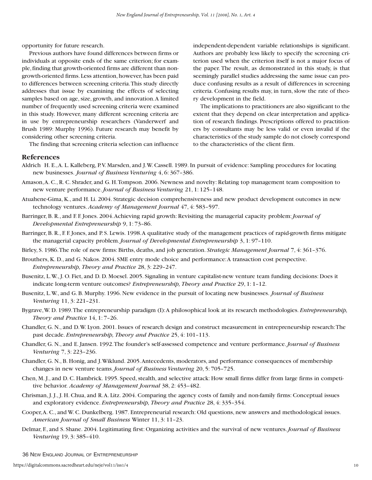opportunity for future research.

Previous authors have found differences between firms or individuals at opposite ends of the same criterion; for example,finding that growth-oriented firms are different than nongrowth-oriented firms.Less attention,however,has been paid to differences between screening criteria.This study directly addresses that issue by examining the effects of selecting samples based on age, size, growth, and innovation.A limited number of frequently used screening criteria were examined in this study. However, many different screening criteria are in use by entrepreneurship researchers (Vanderwerf and Brush 1989: Murphy 1996). Future research may benefit by considering other screening criteria.

The finding that screening criteria selection can influence

independent-dependent variable relationships is significant. Authors are probably less likely to specify the screening criterion used when the criterion itself is not a major focus of the paper. The result, as demonstrated in this study, is that seemingly parallel studies addressing the same issue can produce confusing results as a result of differences in screening criteria. Confusing results may, in turn, slow the rate of theory development in the field.

The implications to practitioners are also significant to the extent that they depend on clear interpretation and application of research findings. Prescriptions offered to practitioners by consultants may be less valid or even invalid if the characteristics of the study sample do not closely correspond to the characteristics of the client firm.

#### **References**

- Aldrich H. E.,A. L. Kalleberg, P.V. Marsden, and J.W. Cassell. 1989. In pursuit of evidence: Sampling procedures for locating new businesses. *Journal of Business Venturing* 4, 6: 367–386.
- Amason,A. C., R. C. Shrader, and G. H.Tompson. 2006. Newness and novelty: Relating top management team composition to new venture performance.*Journal of Business Venturing* 21, 1: 125–148.
- Atuahene-Gima, K., and H. Li. 2004. Strategic decision comprehensiveness and new product development outcomes in new technology ventures. *Academy of Management Journal* 47, 4: 583–597.
- Barringer, B. R., and F. F. Jones. 2004.Achieving rapid growth: Revisiting the managerial capacity problem:*Journal of Developmental Entrepreneurship* 9, 1: 73–86.
- Barringer, B. R., F. F. Jones, and P. S. Lewis. 1998.A qualitative study of the management practices of rapid-growth firms mitigate the managerial capacity problem.*Journal of Developmental Entrepreneurship* 3, 1: 97–110.
- Birley, S. 1986.The role of new firms: Births, deaths, and job generation. *Strategic Management Journal* 7, 4: 361–376.
- Brouthers, K. D., and G. Nakos. 2004. SME entry mode choice and performance:A transaction cost perspective. *Entrepreneurship, Theory and Practice* 28, 3: 229–247.
- Busenitz, L.W., J. O. Fiet, and D. D. Moesel. 2005. Signaling in venture capitalist-new venture team funding decisions: Does it indicate long-term venture outcomes? *Entrepreneurship, Theory and Practice* 29, 1: 1–12.
- Busenitz, L.W., and G. B. Murphy. 1996. New evidence in the pursuit of locating new businesses. *Journal of Business Venturing* 11, 3: 221–231.
- Bygrave,W. D. 1989.The entrepreneurship paradigm (I):A philosophical look at its research methodologies. *Entrepreneurship, Theory and Practice* 14, 1: 7–26.
- Chandler, G. N., and D.W. Lyon. 2001. Issues of research design and construct measurement in entrepreneurship research:The past decade. *Entrepreneurship, Theory and Practice* 25, 4: 101–113.
- Chandler, G. N., and E. Jansen. 1992.The founder's self-assessed competence and venture performance.*Journal of Business Venturing* 7, 3: 223–236.
- Chandler, G. N., B. Honig, and J.Wiklund. 2005.Antecedents, moderators, and performance consequences of membership changes in new venture teams.*Journal of Business Venturing* 20, 5: 705–725.
- Chen, M. J., and D. C. Hambrick. 1995. Speed, stealth, and selective attack: How small firms differ from large firms in competitive behavior. *Academy of Management Journal* 38, 2: 453–482.
- Chrisman, J. J., J. H. Chua, and R.A. Litz. 2004. Comparing the agency costs of family and non-family firms: Conceptual issues and exploratory evidence. *Entrepreneurship, Theory and Practice* 28, 4: 335–354.
- Cooper,A. C., and W. C. Dunkelberg. 1987. Entrepreneurial research: Old questions, new answers and methodological issues. *American Journal of Small Business* Winter 11, 3: 11–23.
- Delmar, F., and S. Shane. 2004. Legitimating first: Organizing activities and the survival of new ventures.*Journal of Business Venturing* 19, 3: 385–410.

36 NEW ENGLAND JOURNAL OF ENTREPRENEURSHIP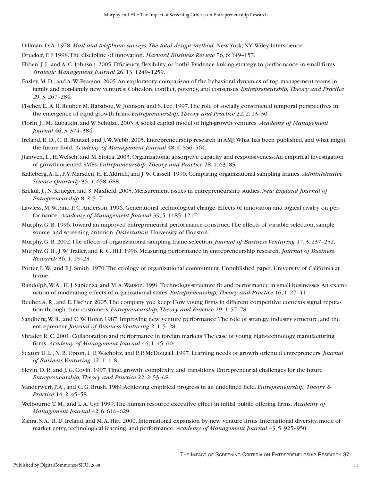Dillman, D.A. 1978. *Mail and telephone surveys:The total design method.* New York, NY:Wiley-Interscience.

- Drucker, P. F. 1998.The discipline of innovation. *Harvard Business Review* 76, 6: 149–157.
- Ebben, J. J., and A. C. Johnson. 2005. Efficiency, flexibility, or both? Evidence linking strategy to performance in small firms. *Strategic Management Journal* 26, 13: 1249–1259.
- Ensley, M. D., and A.W. Pearson. 2005.An exploratory comparison of the behavioral dynamics of top management teams in family and non-family new ventures: Cohesion, conflict, potency, and consensus. *Entrepreneurship, Theory and Practice* 29, 3: 267–284.
- Fischer, E.,A. R. Reuber, M. Hababou,W. Johnson, and S. Lee. 1997.The role of socially constructed temporal perspectives in the emergence of rapid growth firms. *Entrepreneurship, Theory and Practice* 22, 2: 13–30.
- Florin, J., M., Lubatkin, and W. Schulze. 2003.A social capital model of high-growth ventures. *Academy of Management Journal* 46, 3: 374–384.
- Ireland, R. D., C. R. Reutzel, and J.W.Webb. 2005. Entrepreneurship research in AMJ:What has been published, and what might the future hold. *Academy of Management Journal* 48, 4: 556–564.
- Jianwen, L., H.Welsch, and M. Stoica. 2003. Organizational absorptive capacity and responsiveness:An empirical investigation of growth-oriented SMEs. *Entrepreneurship, Theory and Practice* 28, 1: 63–85.
- Kalleberg,A. L., P.V. Marsden, H. E.Aldrich, and J.W. Cassell. 1990. Comparing organizational sampling frames. *Administrative Science Quarterly* 35, 4: 658–688.
- Kickul, J., N. Krueger, and S. Maxfield. 2005. Measurement issues in entrepreneurship studies.*New England Journal of Entrepreneurship* 8, 2: 5–7.
- Lawless, M.W., and P. C.Anderson. 1996. Generational technological change: Effects of innovation and logical rivalry on performance. *Academy of Management Journal* 39, 5: 1185–1217.
- Murphy, G. B. 1996.Toward an improved entrepreneurial performance construct:The effects of variable selection, sample source, and screening criterion. *Dissertation*. University of Houston.
- Murphy, G. B. 2002.The effects of organizational sampling frame selection.*Journal of Business Venturing* 17, 3: 237–252.
- Murphy, G. B., J.W. Trailer, and R. C. Hill. 1996. Measuring performance in entrepreneurship research. *Journal of Business Research* 36, 1: 15–23.
- Porter, L.W., and F.J. Smith. 1970. The etiology of organizational commitment. Unpublished paper, University of California at Irvine.
- Randolph,W.A., H. J. Sapienza, and M.A.Watson. 1991.Technology-structure fit and performance in small businesses:An examination of moderating effects of organizational states. *Entrepreneurship, Theory and Practice* 16, 1: 27–41.
- Reuber,A. R., and E. Fischer. 2005.The company you keep: How young firms in different competitive contexts signal reputation through their customers. *Entrepreneurship, Theory and Practice* 29, 1: 57–78.
- Sandberg,W. R., and C.W. Hofer. 1987. Improving new venture performance:The role of strategy, industry structure, and the entrepreneur.*Journal of Business Venturing* 2, 1: 5–28.
- Shrader, R. C. 2001. Collaboration and performance in foreign markets:The case of young high-technology manufacturing firms. *Academy of Management Journal* 44, 1: 45–60.
- Sexton D. L., N. B. Upton, L. E. Wacholtz, and P. P. McDougall. 1997. Learning needs of growth oriented entrepreneurs. *Journal of Business Venturing* 12, 1: 1–8.
- Slevin, D. P., and J. G. Covin. 1997.Time, growth, complexity, and transitions: Entrepreneurial challenges for the future. *Entrepreneurship, Theory and Practice* 22, 2: 53–68.
- Vanderwerf, P.A., and C. G. Brush. 1989.Achieving empirical progress in an undefined field. *Entrepreneurship, Theory & Practice* 14, 2: 45–58.
- Welbourne,T. M., and L.A. Cyr. 1999.The human resource executive effect in initial public offering firms. *Academy of Management Journal* 42, 6: 616–629.
- Zahra, S.A., R. D. Ireland, and M.A. Hitt. 2000. International expansion by new venture firms: International diversity, mode of market entry, technological learning, and performance. *Academy of Management Journal* 43, 5: 925–950.